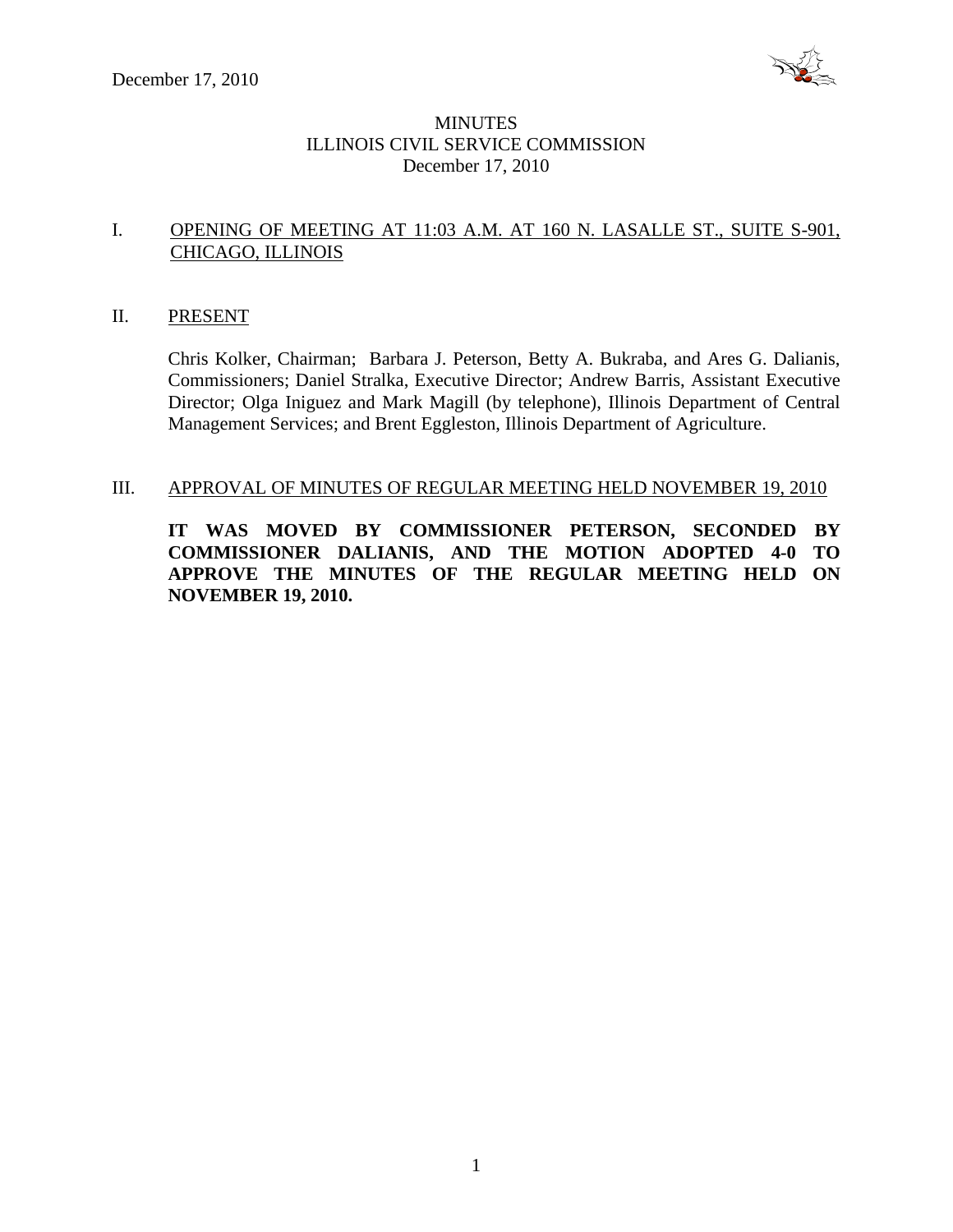

# **MINUTES** ILLINOIS CIVIL SERVICE COMMISSION December 17, 2010

# I. OPENING OF MEETING AT 11:03 A.M. AT 160 N. LASALLE ST., SUITE S-901, CHICAGO, ILLINOIS

#### II. PRESENT

Chris Kolker, Chairman; Barbara J. Peterson, Betty A. Bukraba, and Ares G. Dalianis, Commissioners; Daniel Stralka, Executive Director; Andrew Barris, Assistant Executive Director; Olga Iniguez and Mark Magill (by telephone), Illinois Department of Central Management Services; and Brent Eggleston, Illinois Department of Agriculture.

### III. APPROVAL OF MINUTES OF REGULAR MEETING HELD NOVEMBER 19, 2010

**IT WAS MOVED BY COMMISSIONER PETERSON, SECONDED BY COMMISSIONER DALIANIS, AND THE MOTION ADOPTED 4-0 TO APPROVE THE MINUTES OF THE REGULAR MEETING HELD ON NOVEMBER 19, 2010.**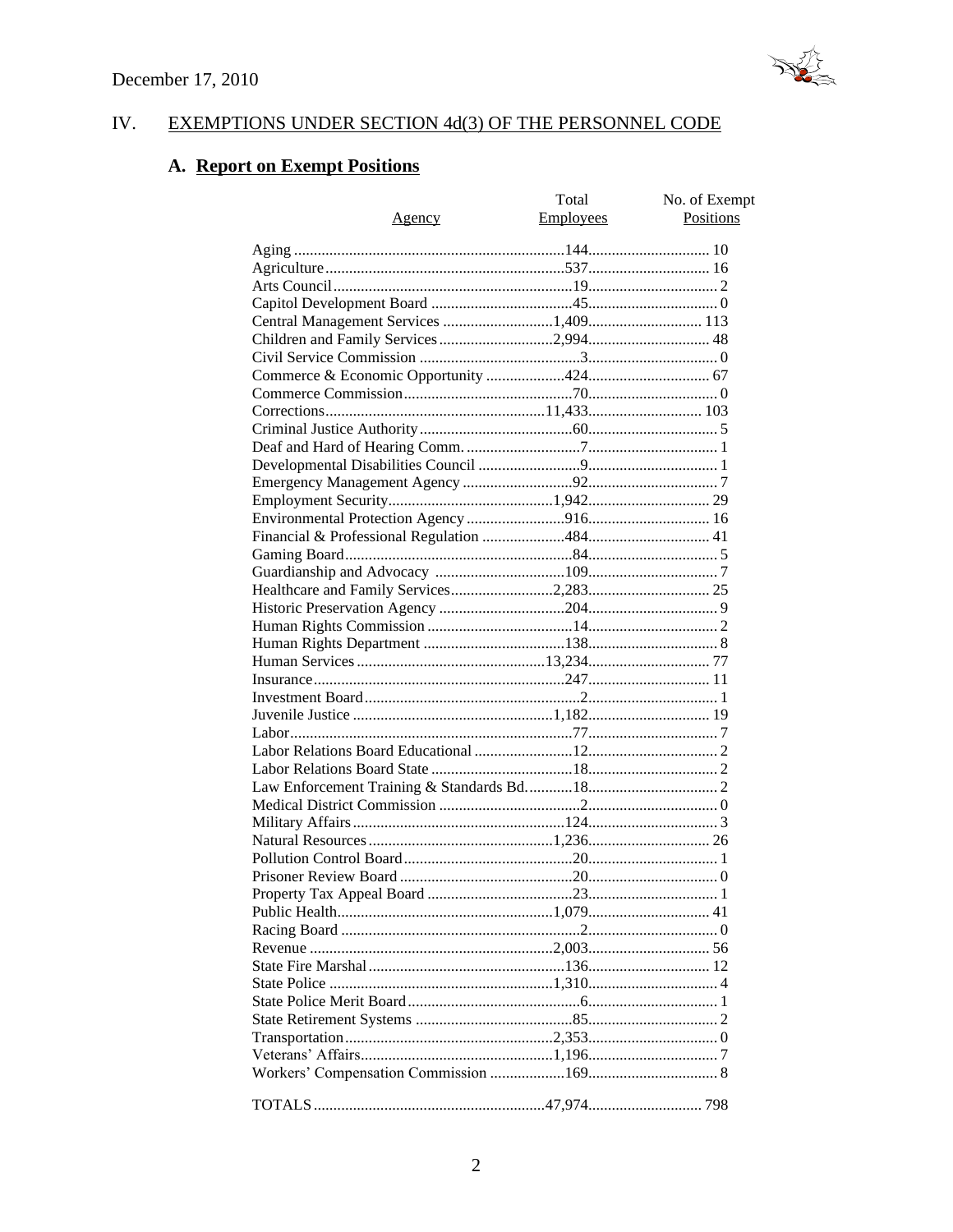

#### IV. EXEMPTIONS UNDER SECTION 4d(3) OF THE PERSONNEL CODE

# A. Report on Exempt Positions

|                                       | Total            | No. of Exempt |
|---------------------------------------|------------------|---------------|
| <u>Agency</u>                         | <b>Employees</b> | Positions     |
|                                       |                  |               |
|                                       |                  |               |
|                                       |                  |               |
|                                       |                  |               |
| Central Management Services 1,409 113 |                  |               |
|                                       |                  |               |
|                                       |                  |               |
|                                       |                  |               |
|                                       |                  |               |
|                                       |                  |               |
|                                       |                  |               |
|                                       |                  |               |
|                                       |                  |               |
|                                       |                  |               |
|                                       |                  |               |
|                                       |                  |               |
|                                       |                  |               |
|                                       |                  |               |
|                                       |                  |               |
|                                       |                  |               |
|                                       |                  |               |
|                                       |                  |               |
|                                       |                  |               |
|                                       |                  |               |
|                                       |                  |               |
|                                       |                  |               |
|                                       |                  |               |
|                                       |                  |               |
|                                       |                  |               |
|                                       |                  |               |
|                                       |                  |               |
|                                       |                  |               |
|                                       |                  |               |
|                                       |                  |               |
|                                       |                  |               |
|                                       |                  |               |
|                                       |                  |               |
|                                       |                  |               |
|                                       |                  |               |
|                                       |                  |               |
|                                       |                  |               |
|                                       |                  |               |
|                                       |                  |               |
|                                       |                  |               |
|                                       |                  |               |
|                                       |                  |               |
|                                       |                  |               |
|                                       |                  |               |
|                                       |                  |               |
|                                       |                  |               |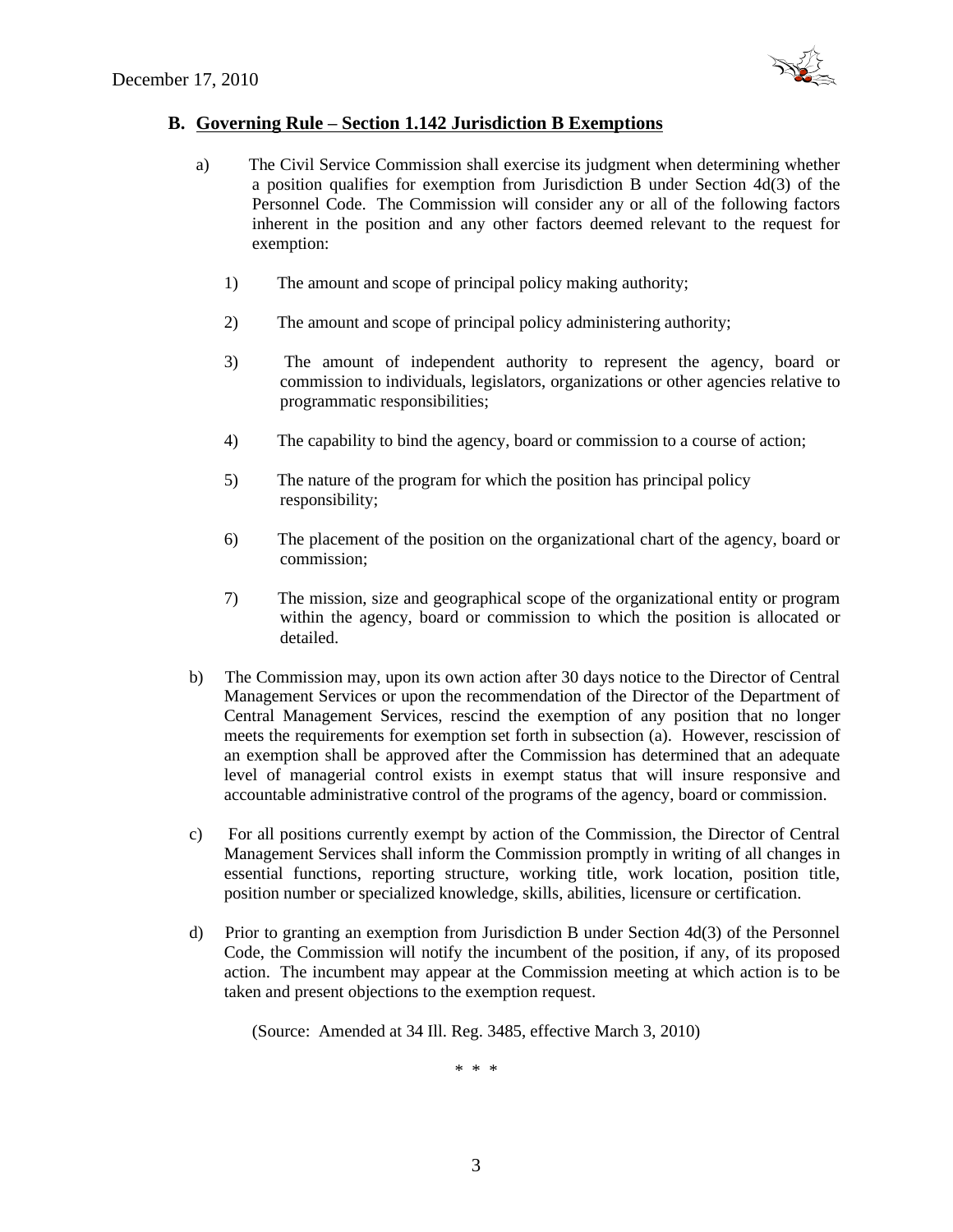

#### **B. Governing Rule – Section 1.142 Jurisdiction B Exemptions**

- a) The Civil Service Commission shall exercise its judgment when determining whether a position qualifies for exemption from Jurisdiction B under Section 4d(3) of the Personnel Code. The Commission will consider any or all of the following factors inherent in the position and any other factors deemed relevant to the request for exemption:
	- 1) The amount and scope of principal policy making authority;
	- 2) The amount and scope of principal policy administering authority;
	- 3) The amount of independent authority to represent the agency, board or commission to individuals, legislators, organizations or other agencies relative to programmatic responsibilities;
	- 4) The capability to bind the agency, board or commission to a course of action;
	- 5) The nature of the program for which the position has principal policy responsibility;
	- 6) The placement of the position on the organizational chart of the agency, board or commission;
	- 7) The mission, size and geographical scope of the organizational entity or program within the agency, board or commission to which the position is allocated or detailed.
- b) The Commission may, upon its own action after 30 days notice to the Director of Central Management Services or upon the recommendation of the Director of the Department of Central Management Services, rescind the exemption of any position that no longer meets the requirements for exemption set forth in subsection (a). However, rescission of an exemption shall be approved after the Commission has determined that an adequate level of managerial control exists in exempt status that will insure responsive and accountable administrative control of the programs of the agency, board or commission.
- c) For all positions currently exempt by action of the Commission, the Director of Central Management Services shall inform the Commission promptly in writing of all changes in essential functions, reporting structure, working title, work location, position title, position number or specialized knowledge, skills, abilities, licensure or certification.
- d) Prior to granting an exemption from Jurisdiction B under Section 4d(3) of the Personnel Code, the Commission will notify the incumbent of the position, if any, of its proposed action. The incumbent may appear at the Commission meeting at which action is to be taken and present objections to the exemption request.

(Source: Amended at 34 Ill. Reg. 3485, effective March 3, 2010)

\* \* \*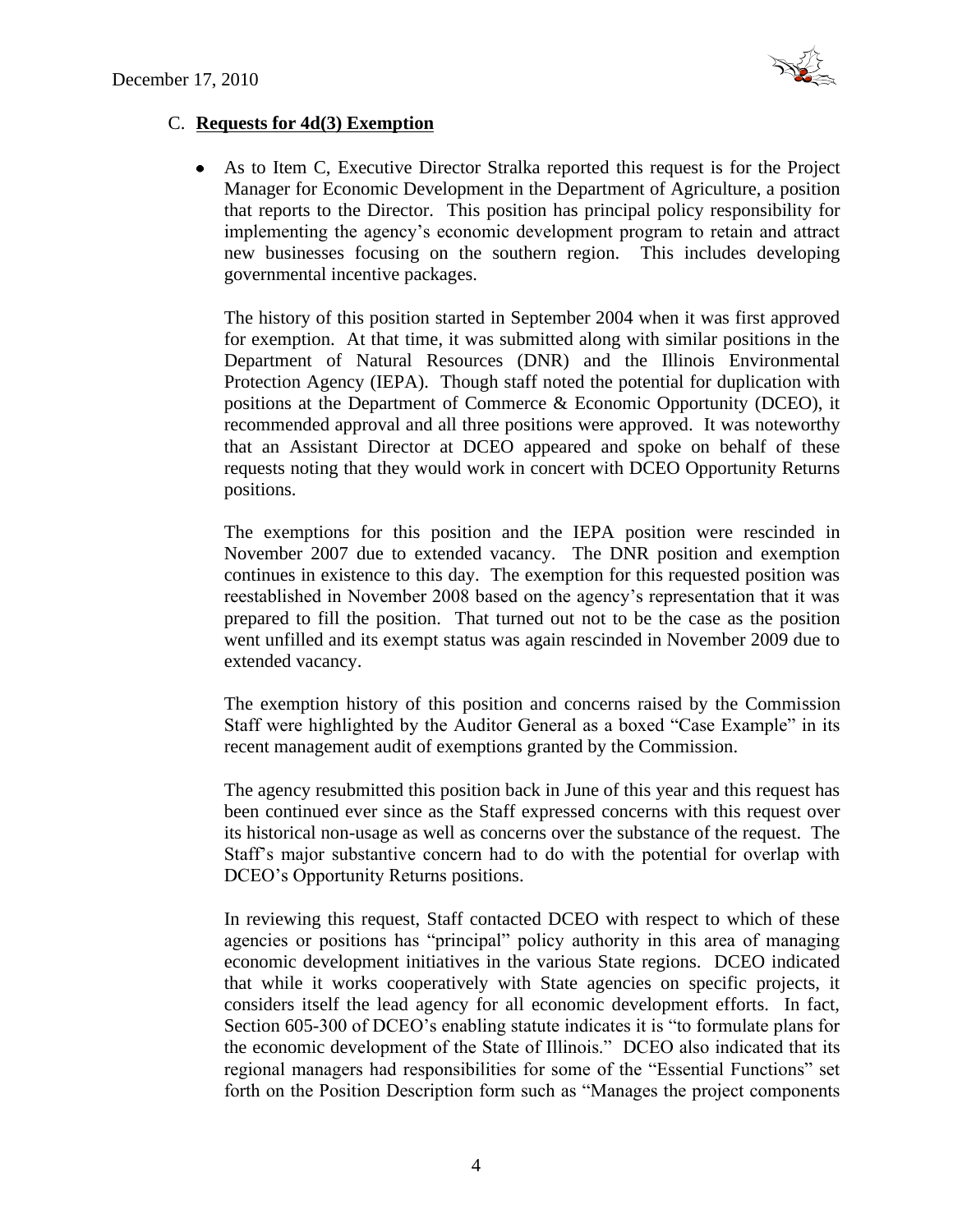

# C. **Requests for 4d(3) Exemption**

 $\bullet$ As to Item C, Executive Director Stralka reported this request is for the Project Manager for Economic Development in the Department of Agriculture, a position that reports to the Director. This position has principal policy responsibility for implementing the agency's economic development program to retain and attract new businesses focusing on the southern region. This includes developing governmental incentive packages.

The history of this position started in September 2004 when it was first approved for exemption. At that time, it was submitted along with similar positions in the Department of Natural Resources (DNR) and the Illinois Environmental Protection Agency (IEPA). Though staff noted the potential for duplication with positions at the Department of Commerce & Economic Opportunity (DCEO), it recommended approval and all three positions were approved. It was noteworthy that an Assistant Director at DCEO appeared and spoke on behalf of these requests noting that they would work in concert with DCEO Opportunity Returns positions.

The exemptions for this position and the IEPA position were rescinded in November 2007 due to extended vacancy. The DNR position and exemption continues in existence to this day. The exemption for this requested position was reestablished in November 2008 based on the agency's representation that it was prepared to fill the position. That turned out not to be the case as the position went unfilled and its exempt status was again rescinded in November 2009 due to extended vacancy.

The exemption history of this position and concerns raised by the Commission Staff were highlighted by the Auditor General as a boxed "Case Example" in its recent management audit of exemptions granted by the Commission.

The agency resubmitted this position back in June of this year and this request has been continued ever since as the Staff expressed concerns with this request over its historical non-usage as well as concerns over the substance of the request. The Staff's major substantive concern had to do with the potential for overlap with DCEO's Opportunity Returns positions.

In reviewing this request, Staff contacted DCEO with respect to which of these agencies or positions has "principal" policy authority in this area of managing economic development initiatives in the various State regions. DCEO indicated that while it works cooperatively with State agencies on specific projects, it considers itself the lead agency for all economic development efforts. In fact, Section 605-300 of DCEO's enabling statute indicates it is "to formulate plans for the economic development of the State of Illinois." DCEO also indicated that its regional managers had responsibilities for some of the "Essential Functions" set forth on the Position Description form such as "Manages the project components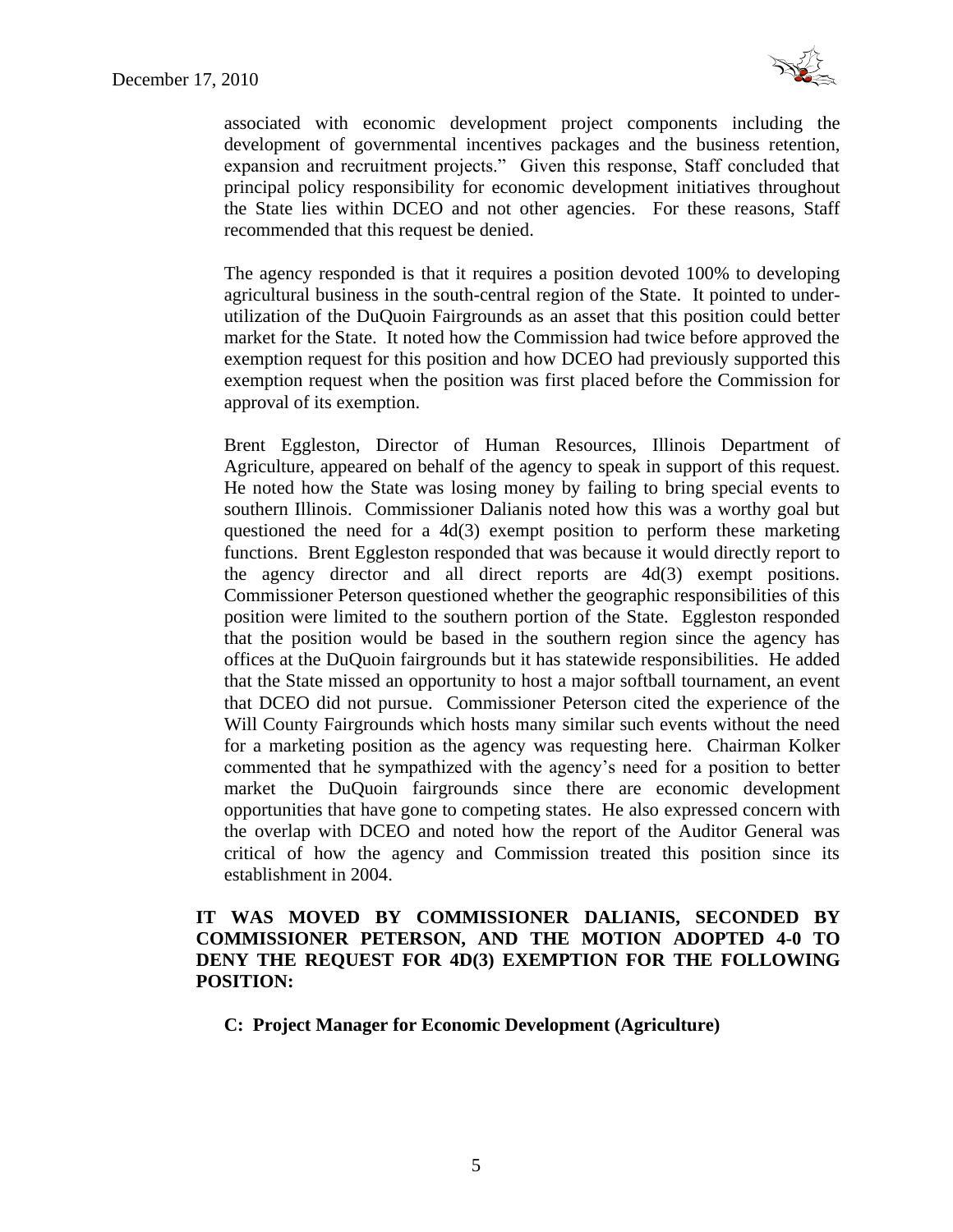

associated with economic development project components including the development of governmental incentives packages and the business retention, expansion and recruitment projects." Given this response, Staff concluded that principal policy responsibility for economic development initiatives throughout the State lies within DCEO and not other agencies. For these reasons, Staff recommended that this request be denied.

The agency responded is that it requires a position devoted 100% to developing agricultural business in the south-central region of the State. It pointed to underutilization of the DuQuoin Fairgrounds as an asset that this position could better market for the State. It noted how the Commission had twice before approved the exemption request for this position and how DCEO had previously supported this exemption request when the position was first placed before the Commission for approval of its exemption.

Brent Eggleston, Director of Human Resources, Illinois Department of Agriculture, appeared on behalf of the agency to speak in support of this request. He noted how the State was losing money by failing to bring special events to southern Illinois. Commissioner Dalianis noted how this was a worthy goal but questioned the need for a 4d(3) exempt position to perform these marketing functions. Brent Eggleston responded that was because it would directly report to the agency director and all direct reports are 4d(3) exempt positions. Commissioner Peterson questioned whether the geographic responsibilities of this position were limited to the southern portion of the State. Eggleston responded that the position would be based in the southern region since the agency has offices at the DuQuoin fairgrounds but it has statewide responsibilities. He added that the State missed an opportunity to host a major softball tournament, an event that DCEO did not pursue. Commissioner Peterson cited the experience of the Will County Fairgrounds which hosts many similar such events without the need for a marketing position as the agency was requesting here. Chairman Kolker commented that he sympathized with the agency's need for a position to better market the DuQuoin fairgrounds since there are economic development opportunities that have gone to competing states. He also expressed concern with the overlap with DCEO and noted how the report of the Auditor General was critical of how the agency and Commission treated this position since its establishment in 2004.

### **IT WAS MOVED BY COMMISSIONER DALIANIS, SECONDED BY COMMISSIONER PETERSON, AND THE MOTION ADOPTED 4-0 TO DENY THE REQUEST FOR 4D(3) EXEMPTION FOR THE FOLLOWING POSITION:**

**C: Project Manager for Economic Development (Agriculture)**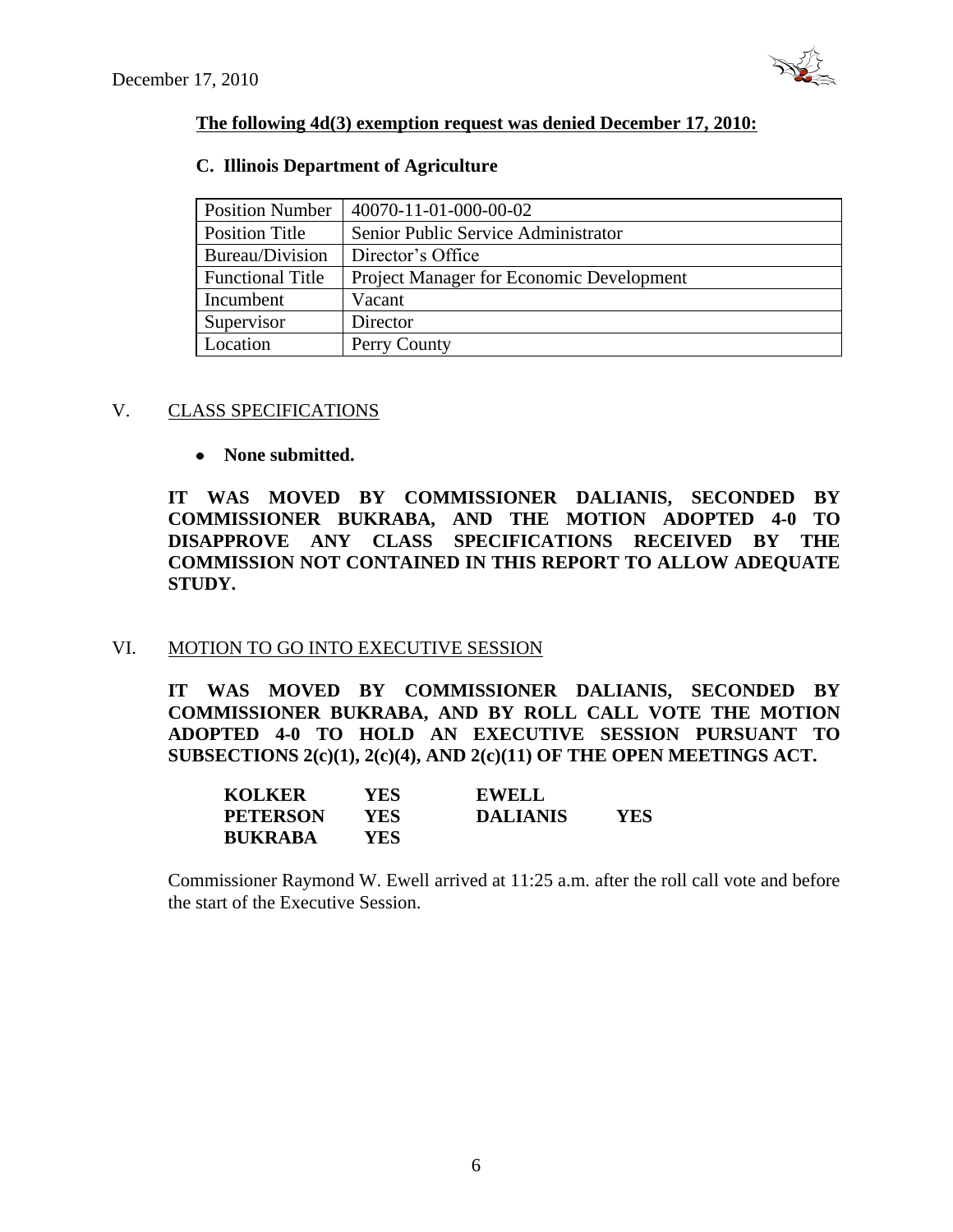

### **The following 4d(3) exemption request was denied December 17, 2010:**

# **C. Illinois Department of Agriculture**

| <b>Position Number</b>  | 40070-11-01-000-00-02                           |
|-------------------------|-------------------------------------------------|
| Position Title          | Senior Public Service Administrator             |
| Bureau/Division         | Director's Office                               |
| <b>Functional Title</b> | <b>Project Manager for Economic Development</b> |
| Incumbent               | Vacant                                          |
| Supervisor              | Director                                        |
| Location                | Perry County                                    |

### V. CLASS SPECIFICATIONS

# **None submitted.**

**IT WAS MOVED BY COMMISSIONER DALIANIS, SECONDED BY COMMISSIONER BUKRABA, AND THE MOTION ADOPTED 4-0 TO DISAPPROVE ANY CLASS SPECIFICATIONS RECEIVED BY THE COMMISSION NOT CONTAINED IN THIS REPORT TO ALLOW ADEQUATE STUDY.** 

# VI. MOTION TO GO INTO EXECUTIVE SESSION

**IT WAS MOVED BY COMMISSIONER DALIANIS, SECONDED BY COMMISSIONER BUKRABA, AND BY ROLL CALL VOTE THE MOTION ADOPTED 4-0 TO HOLD AN EXECUTIVE SESSION PURSUANT TO SUBSECTIONS 2(c)(1), 2(c)(4), AND 2(c)(11) OF THE OPEN MEETINGS ACT.** 

| <b>KOLKER</b>   | YES  | <b>EWELL</b>    |            |
|-----------------|------|-----------------|------------|
| <b>PETERSON</b> | YES. | <b>DALIANIS</b> | <b>YES</b> |
| <b>BUKRABA</b>  | YES. |                 |            |

Commissioner Raymond W. Ewell arrived at 11:25 a.m. after the roll call vote and before the start of the Executive Session.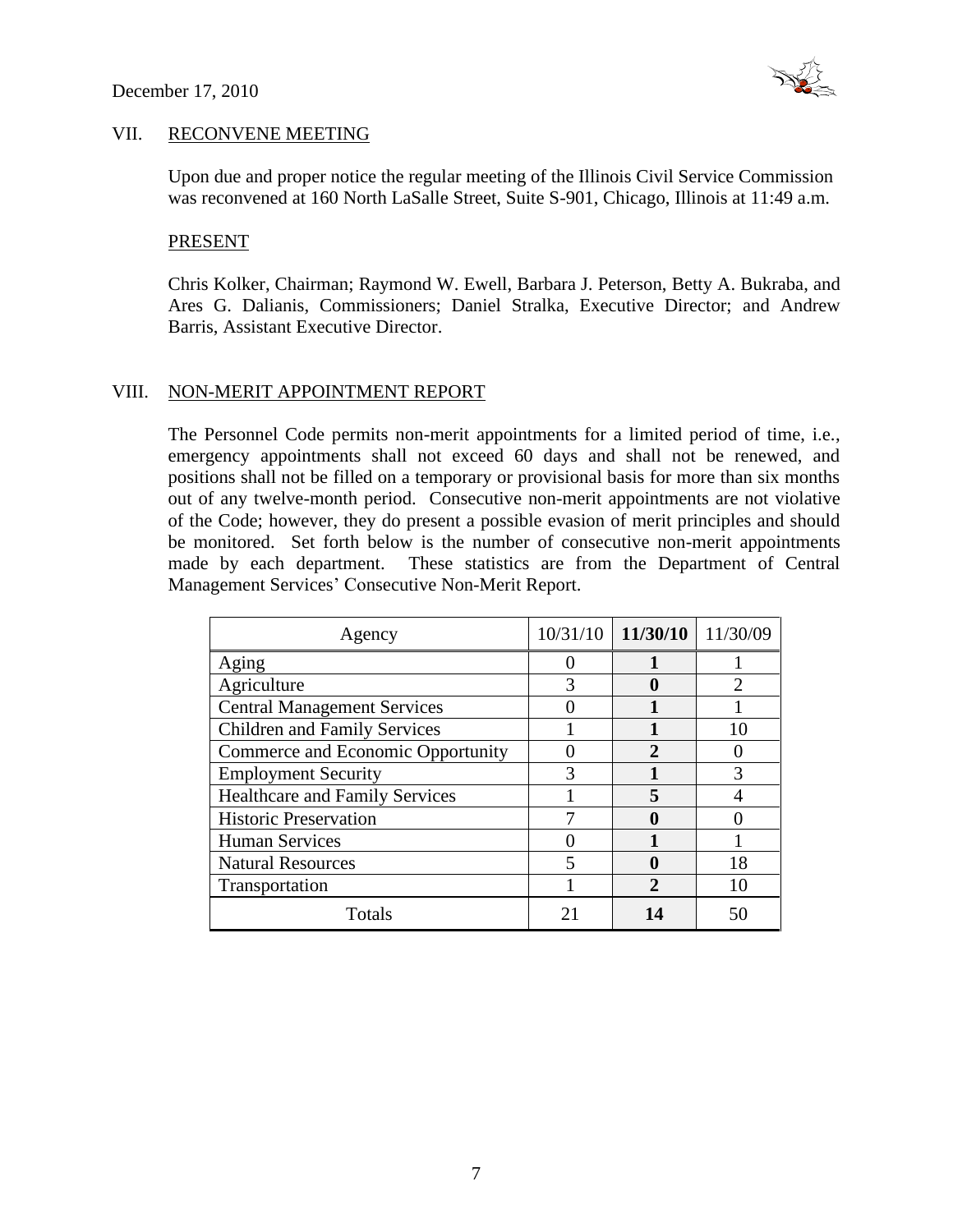

#### VII. RECONVENE MEETING

Upon due and proper notice the regular meeting of the Illinois Civil Service Commission was reconvened at 160 North LaSalle Street, Suite S-901, Chicago, Illinois at 11:49 a.m.

#### PRESENT

Chris Kolker, Chairman; Raymond W. Ewell, Barbara J. Peterson, Betty A. Bukraba, and Ares G. Dalianis, Commissioners; Daniel Stralka, Executive Director; and Andrew Barris, Assistant Executive Director.

#### VIII. NON-MERIT APPOINTMENT REPORT

The Personnel Code permits non-merit appointments for a limited period of time, i.e., emergency appointments shall not exceed 60 days and shall not be renewed, and positions shall not be filled on a temporary or provisional basis for more than six months out of any twelve-month period. Consecutive non-merit appointments are not violative of the Code; however, they do present a possible evasion of merit principles and should be monitored. Set forth below is the number of consecutive non-merit appointments made by each department. These statistics are from the Department of Central Management Services' Consecutive Non-Merit Report.

| Agency                                | 10/31/10 | $11/30/10$   $11/30/09$ |    |
|---------------------------------------|----------|-------------------------|----|
| Aging                                 |          |                         |    |
| Agriculture                           |          |                         |    |
| <b>Central Management Services</b>    |          |                         |    |
| <b>Children and Family Services</b>   |          |                         |    |
| Commerce and Economic Opportunity     |          | 2                       |    |
| <b>Employment Security</b>            |          |                         |    |
| <b>Healthcare and Family Services</b> |          | 5                       |    |
| <b>Historic Preservation</b>          |          |                         |    |
| <b>Human Services</b>                 |          |                         |    |
| <b>Natural Resources</b>              | 5        |                         | 18 |
| Transportation                        |          | 2                       |    |
| Totals                                | 21       |                         | 50 |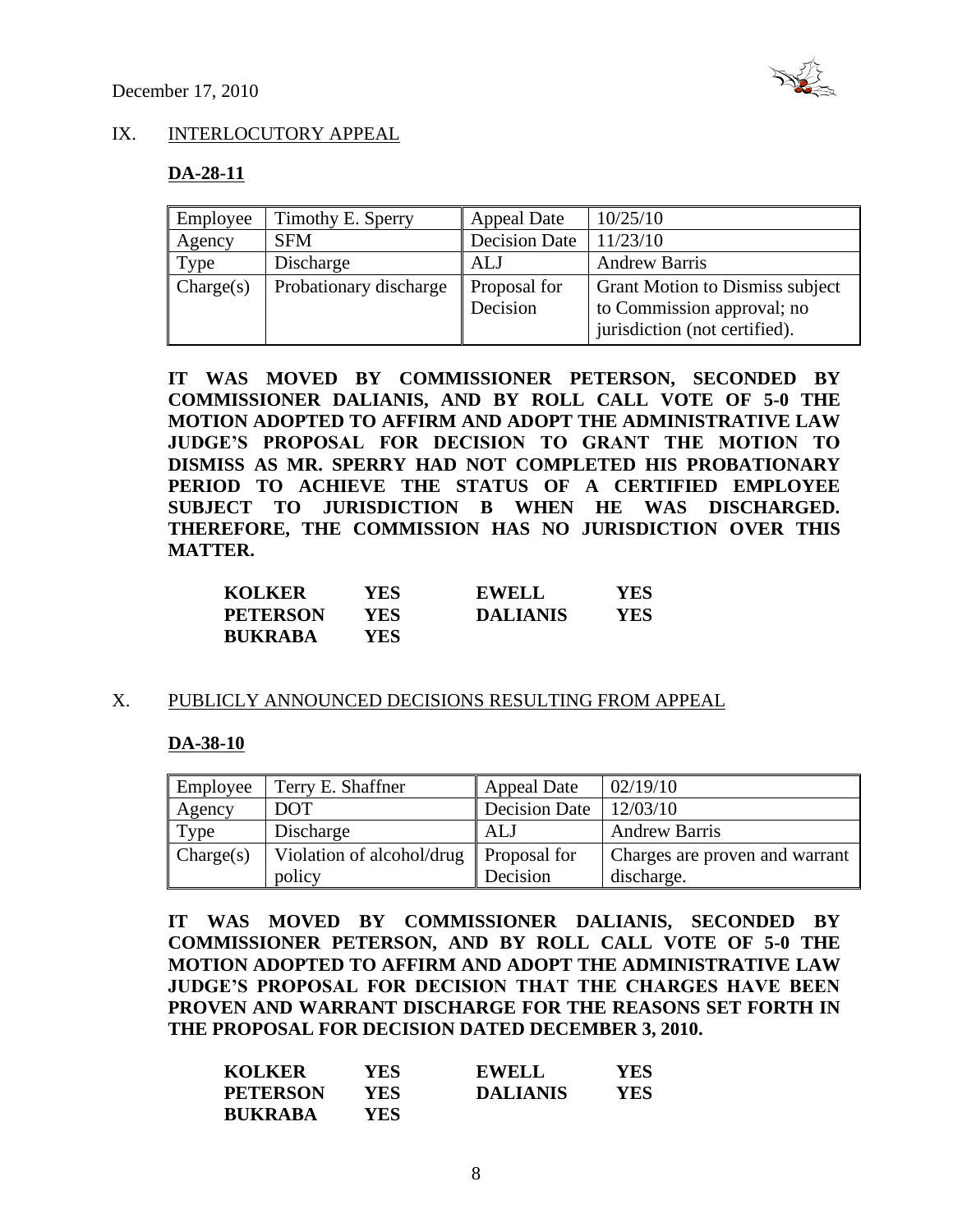

# IX. INTERLOCUTORY APPEAL

#### **DA-28-11**

| Employee  | Timothy E. Sperry      | <b>Appeal Date</b>       | 10/25/10                                                                                              |
|-----------|------------------------|--------------------------|-------------------------------------------------------------------------------------------------------|
| Agency    | <b>SFM</b>             | <b>Decision Date</b>     | 11/23/10                                                                                              |
| Type      | Discharge              | <b>ALJ</b>               | <b>Andrew Barris</b>                                                                                  |
| Change(s) | Probationary discharge | Proposal for<br>Decision | <b>Grant Motion to Dismiss subject</b><br>to Commission approval; no<br>jurisdiction (not certified). |

**IT WAS MOVED BY COMMISSIONER PETERSON, SECONDED BY COMMISSIONER DALIANIS, AND BY ROLL CALL VOTE OF 5-0 THE MOTION ADOPTED TO AFFIRM AND ADOPT THE ADMINISTRATIVE LAW JUDGE'S PROPOSAL FOR DECISION TO GRANT THE MOTION TO DISMISS AS MR. SPERRY HAD NOT COMPLETED HIS PROBATIONARY PERIOD TO ACHIEVE THE STATUS OF A CERTIFIED EMPLOYEE SUBJECT TO JURISDICTION B WHEN HE WAS DISCHARGED. THEREFORE, THE COMMISSION HAS NO JURISDICTION OVER THIS MATTER.**

| <b>KOLKER</b>   | YES- | <b>EWELL</b>    | <b>YES</b> |
|-----------------|------|-----------------|------------|
| <b>PETERSON</b> | YES. | <b>DALIANIS</b> | YES        |
| <b>BUKRABA</b>  | YES- |                 |            |

#### X. PUBLICLY ANNOUNCED DECISIONS RESULTING FROM APPEAL

#### **DA-38-10**

| Employee  | Terry E. Shaffner         | <b>Appeal Date</b>   | 02/19/10                       |
|-----------|---------------------------|----------------------|--------------------------------|
| Agency    | <b>DOT</b>                | <b>Decision Date</b> | 12/03/10                       |
| Type      | Discharge                 | ALJ                  | <b>Andrew Barris</b>           |
| Change(s) | Violation of alcohol/drug | Proposal for         | Charges are proven and warrant |
|           | policy                    | Decision             | discharge.                     |

**IT WAS MOVED BY COMMISSIONER DALIANIS, SECONDED BY COMMISSIONER PETERSON, AND BY ROLL CALL VOTE OF 5-0 THE MOTION ADOPTED TO AFFIRM AND ADOPT THE ADMINISTRATIVE LAW JUDGE'S PROPOSAL FOR DECISION THAT THE CHARGES HAVE BEEN PROVEN AND WARRANT DISCHARGE FOR THE REASONS SET FORTH IN THE PROPOSAL FOR DECISION DATED DECEMBER 3, 2010.** 

| <b>KOLKER</b>   | YES  | <b>EWELL</b>    | YES |
|-----------------|------|-----------------|-----|
| <b>PETERSON</b> | YES. | <b>DALIANIS</b> | YES |
| <b>BUKRABA</b>  | YES  |                 |     |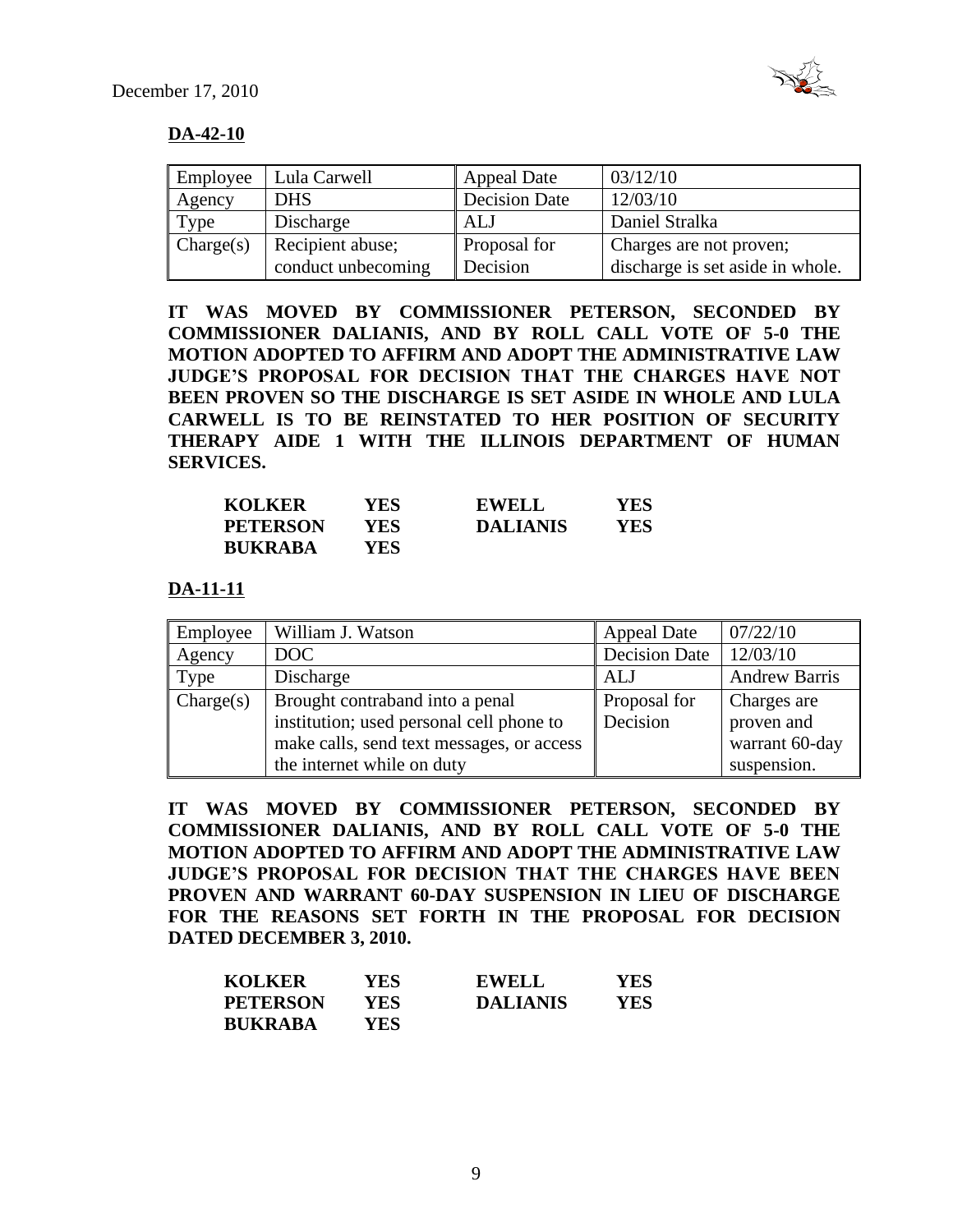

# **DA-42-10**

| Employee  | Lula Carwell       | <b>Appeal Date</b>   | 03/12/10                         |
|-----------|--------------------|----------------------|----------------------------------|
| Agency    | <b>DHS</b>         | <b>Decision Date</b> | 12/03/10                         |
| Type      | Discharge          | ALJ                  | Daniel Stralka                   |
| Change(s) | Recipient abuse;   | <b>Proposal for</b>  | Charges are not proven;          |
|           | conduct unbecoming | Decision             | discharge is set aside in whole. |

**IT WAS MOVED BY COMMISSIONER PETERSON, SECONDED BY COMMISSIONER DALIANIS, AND BY ROLL CALL VOTE OF 5-0 THE MOTION ADOPTED TO AFFIRM AND ADOPT THE ADMINISTRATIVE LAW JUDGE'S PROPOSAL FOR DECISION THAT THE CHARGES HAVE NOT BEEN PROVEN SO THE DISCHARGE IS SET ASIDE IN WHOLE AND LULA CARWELL IS TO BE REINSTATED TO HER POSITION OF SECURITY THERAPY AIDE 1 WITH THE ILLINOIS DEPARTMENT OF HUMAN SERVICES.**

| <b>KOLKER</b>   | YES  | <b>EWELL</b>    | YES |
|-----------------|------|-----------------|-----|
| <b>PETERSON</b> | YES  | <b>DALIANIS</b> | YES |
| <b>BUKRABA</b>  | YES. |                 |     |

**DA-11-11**

| Employee  | William J. Watson                         | <b>Appeal Date</b> | 07/22/10             |
|-----------|-------------------------------------------|--------------------|----------------------|
| Agency    | DOC                                       | Decision Date      | 12/03/10             |
| Type      | Discharge                                 | ALJ                | <b>Andrew Barris</b> |
| Change(s) | Brought contraband into a penal           | Proposal for       | Charges are          |
|           | institution; used personal cell phone to  | Decision           | proven and           |
|           | make calls, send text messages, or access |                    | warrant 60-day       |
|           | the internet while on duty                |                    | suspension.          |

**IT WAS MOVED BY COMMISSIONER PETERSON, SECONDED BY COMMISSIONER DALIANIS, AND BY ROLL CALL VOTE OF 5-0 THE MOTION ADOPTED TO AFFIRM AND ADOPT THE ADMINISTRATIVE LAW JUDGE'S PROPOSAL FOR DECISION THAT THE CHARGES HAVE BEEN PROVEN AND WARRANT 60-DAY SUSPENSION IN LIEU OF DISCHARGE FOR THE REASONS SET FORTH IN THE PROPOSAL FOR DECISION DATED DECEMBER 3, 2010.**

| <b>KOLKER</b>   | YES. | <b>EWELL</b>    | YES |
|-----------------|------|-----------------|-----|
| <b>PETERSON</b> | YES. | <b>DALIANIS</b> | YES |
| <b>BUKRABA</b>  | YES  |                 |     |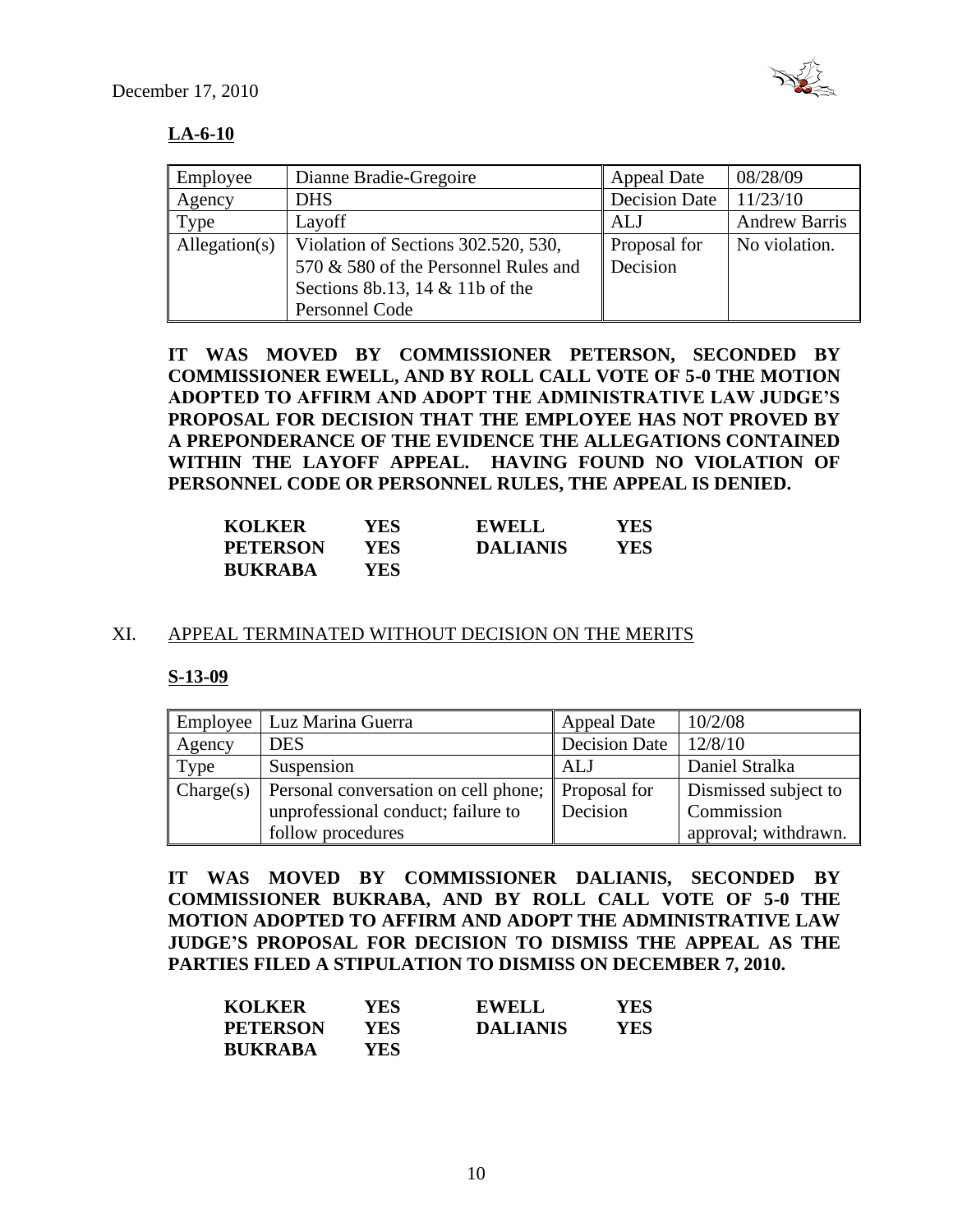

# **LA-6-10**

| Employee      | Dianne Bradie-Gregoire               | <b>Appeal Date</b>   | 08/28/09             |
|---------------|--------------------------------------|----------------------|----------------------|
| Agency        | <b>DHS</b>                           | <b>Decision Date</b> | 11/23/10             |
| Type          | Layoff                               | ALJ                  | <b>Andrew Barris</b> |
| Allegation(s) | Violation of Sections 302.520, 530,  | Proposal for         | No violation.        |
|               | 570 & 580 of the Personnel Rules and | Decision             |                      |
|               | Sections 8b.13, 14 $&$ 11b of the    |                      |                      |
|               | Personnel Code                       |                      |                      |

**IT WAS MOVED BY COMMISSIONER PETERSON, SECONDED BY COMMISSIONER EWELL, AND BY ROLL CALL VOTE OF 5-0 THE MOTION ADOPTED TO AFFIRM AND ADOPT THE ADMINISTRATIVE LAW JUDGE'S PROPOSAL FOR DECISION THAT THE EMPLOYEE HAS NOT PROVED BY A PREPONDERANCE OF THE EVIDENCE THE ALLEGATIONS CONTAINED WITHIN THE LAYOFF APPEAL. HAVING FOUND NO VIOLATION OF PERSONNEL CODE OR PERSONNEL RULES, THE APPEAL IS DENIED.**

| <b>KOLKER</b>   | YES ! | <b>EWELL</b>    | YES  |
|-----------------|-------|-----------------|------|
| <b>PETERSON</b> | YES   | <b>DALIANIS</b> | YES. |
| <b>BUKRABA</b>  | YES-  |                 |      |

#### XI. APPEAL TERMINATED WITHOUT DECISION ON THE MERITS

#### **S-13-09**

|           | Employee   Luz Marina Guerra                      | <b>Appeal Date</b>   | 10/2/08              |
|-----------|---------------------------------------------------|----------------------|----------------------|
| Agency    | <b>DES</b>                                        | <b>Decision Date</b> | 12/8/10              |
| Type      | Suspension                                        | ALJ                  | Daniel Stralka       |
| Change(s) | Personal conversation on cell phone; Proposal for |                      | Dismissed subject to |
|           | unprofessional conduct; failure to                | Decision             | Commission           |
|           | follow procedures                                 |                      | approval; withdrawn. |

**IT WAS MOVED BY COMMISSIONER DALIANIS, SECONDED BY COMMISSIONER BUKRABA, AND BY ROLL CALL VOTE OF 5-0 THE MOTION ADOPTED TO AFFIRM AND ADOPT THE ADMINISTRATIVE LAW JUDGE'S PROPOSAL FOR DECISION TO DISMISS THE APPEAL AS THE PARTIES FILED A STIPULATION TO DISMISS ON DECEMBER 7, 2010.**

| <b>KOLKER</b>   | YES  | <b>EWELL</b>    | YES. |
|-----------------|------|-----------------|------|
| <b>PETERSON</b> | YES  | <b>DALIANIS</b> | YES  |
| <b>BUKRABA</b>  | YES. |                 |      |